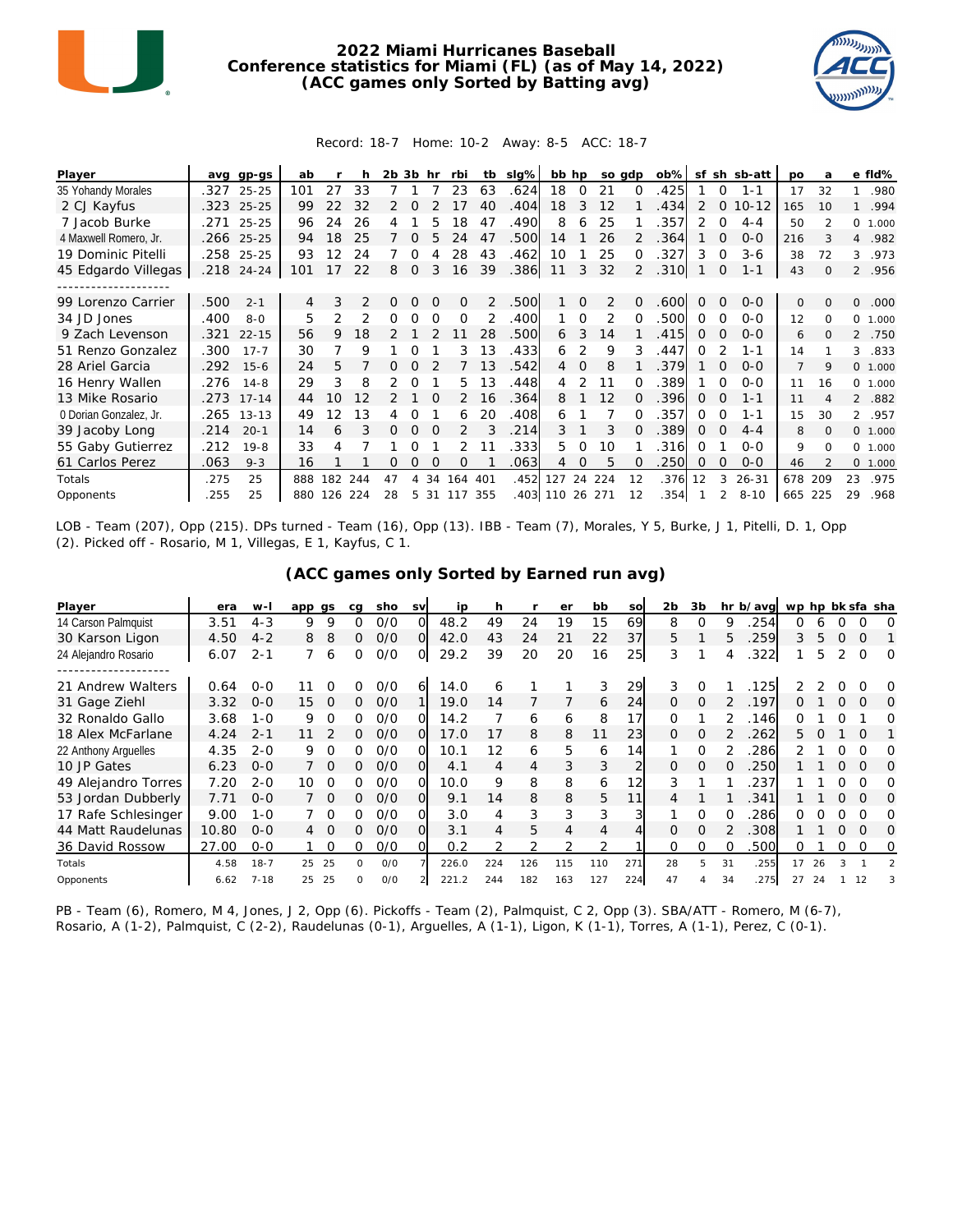

## **2022 Miami Hurricanes Baseball Conference statistics for Miami (FL) (as of May 14, 2022) (ACC games only Sorted by Batting avg)**



## Record: 18-7 Home: 10-2 Away: 8-5 ACC: 18-7

| Player                 | ava  | gp-gs     | ab  |     |               | 2b 3b |          | hr       | rbi      | tb  | $slq\%$ | bb hp    |          | so adp |          | $ob\%$ | sf       | sh       | sb-att    | po             | a        |                | e fld%  |
|------------------------|------|-----------|-----|-----|---------------|-------|----------|----------|----------|-----|---------|----------|----------|--------|----------|--------|----------|----------|-----------|----------------|----------|----------------|---------|
| 35 Yohandy Morales     | .327 | $25 - 25$ | 101 | 27  | 33            |       |          |          | 23       | 63  | .624    | 18       | $\Omega$ | 21     | $\Omega$ | .425   |          | 0        | $1 - 1$   | 17             | 32       | $\mathbf{1}$   | .980    |
| 2 CJ Kayfus            | .323 | $25 - 25$ | 99  | 22  | 32            |       |          |          |          | 40  | .404    | 18       | 3        | 12     |          | .434   | 2        | $\Omega$ | $10 - 12$ | 165            | 10       | $\mathbf{1}$   | .994    |
| 7 Jacob Burke          | .271 | $25 - 25$ | 96  | 24  | 26            |       |          | 5        | 18       | 47  | .490    | 8        | 6        | 25     |          | 357    | 2        | 0        | $4 - 4$   | 50             |          |                | 0 1.000 |
| 4 Maxwell Romero, Jr.  | .266 | $25 - 25$ | 94  | 18  | 25            |       |          |          | 24       | 47  | .500    | 14       |          | 26     |          | 364    |          | O        | $O-O$     | 216            | 3        | $\overline{4}$ | .982    |
| 19 Dominic Pitelli     | .258 | $25 - 25$ | 93  | 12  | 24            |       | 0        |          | 28       | 43  | .462    | 10       |          | 25     | 0        | 327    | 3        | 0        | $3-6$     | 38             | 72       | 3              | .973    |
| 45 Edgardo Villegas    | .218 | $24 - 24$ | 101 | 17  | 22            | 8     | 0        | 3        | 16       | 39  | .386    | 11       | 3        | 32     | 2        | .310   |          | 0        | $1 - 1$   | 43             | 0        |                | 2 .956  |
|                        |      |           |     |     |               |       |          |          |          |     |         |          |          |        |          |        |          |          |           |                |          |                |         |
| 99 Lorenzo Carrier     | 500  | $2 - 1$   | 4   | 3   | $\mathcal{P}$ | 0     | Ω        | $\Omega$ | $\Omega$ | 2   | .500    |          | $\Omega$ | 2      | $\Omega$ | .600   | $\Omega$ | $\Omega$ | $0 - 0$   | 0              | $\Omega$ | 0              | .000    |
| 34 JD Jones            | .400 | $8 - 0$   | 5   | 2   |               | Ω     | O        | O        | $\Omega$ |     | .400    |          | ∩        | 2      | ∩        | .500   | 0        | $\Omega$ | $O-O$     | 12             | $\Omega$ |                | 0 1.000 |
| 9 Zach Levenson        | .321 | $22 - 15$ | 56  | 9   | 18            |       |          |          |          | 28  | .500    | 6        | 3        | 14     |          | .415   | 0        | 0        | $0 - 0$   | 6              | 0        | $\mathcal{L}$  | .750    |
| 51 Renzo Gonzalez      | .300 | $17 - 7$  | 30  |     | 9             |       |          |          | 3        | 13  | .433    | 6        | 2        | 9      | 3        | .447   | ∩        |          | $1 - 1$   | 14             |          | 3              | .833    |
| 28 Ariel Garcia        | .292 | $15 - 6$  | 24  | 5   |               |       |          |          |          | 1.3 | .542    | 4        | $\Omega$ | 8      |          | 379    |          | $\Omega$ | $0 - 0$   | $\overline{7}$ | 9        |                | 0 1.000 |
| 16 Henry Wallen        | .276 | $14 - 8$  | 29  | 3   | 8             |       |          |          | 5.       | 13  | .448    | 4        |          | 11     | ∩        | 389    |          | ∩        | $0 - 0$   | 11             | 16       |                | 0 1.000 |
| 13 Mike Rosario        | .273 | $17 - 14$ | 44  | 10  | 12            |       |          | ∩        | 2        | 16  | .364    | 8        |          | 12     | $\Omega$ | .396   | $\Omega$ | $\Omega$ | $1 - 1$   | 11             | Δ        |                | 2.882   |
| 0 Dorian Gonzalez, Jr. | .265 | $13 - 13$ | 49  | 12  | 13            |       | Ω        |          | 6        | 20  | .408    | 6        |          |        |          | .357   | 0        | 0        | 1-1       | 15             | 30       |                | 2 .957  |
| 39 Jacoby Long         | .214 | $20 - 1$  | 14  | 6   | 3             | 0     | $\Omega$ |          |          |     | .214    | 3        |          | 3      |          | .389   | 0        | $\Omega$ | $4 - 4$   | 8              | $\Omega$ |                | 0 1.000 |
| 55 Gaby Gutierrez      | .212 | $19 - 8$  | 33  | 4   |               |       |          |          | 2        |     | 333     | 5.       | O        | 10     |          | 316    | ∩        |          | $O-O$     | 9              | $\Omega$ |                | 0 1.000 |
| 61 Carlos Perez        | 063  | $9 - 3$   | 16  |     |               | Ω     | O        | $\Omega$ | 0        |     | .063    | 4        | $\Omega$ | 5      |          | 250    | $\Omega$ | $\Omega$ | $0 - 0$   | 46             |          |                | 0 1.000 |
| Totals                 | .275 | 25        | 888 | 182 | 244           | 47    |          | 34       | 164      | 401 | .452    | 127      | 24       | 224    | 12       | .376   | 12       | 3        | $26 - 31$ | 678            | 209      | 23             | .975    |
| Opponents              | .255 | 25        | 880 | 126 | 224           | 28    | 5.       | -31      | 117      | 355 |         | .403 110 |          | 26 271 | 12       | .354   |          | 2        | $8 - 10$  | 665            | 225      | 29             | .968    |

LOB - Team (207), Opp (215). DPs turned - Team (16), Opp (13). IBB - Team (7), Morales, Y 5, Burke, J 1, Pitelli, D. 1, Opp (2). Picked off - Rosario, M 1, Villegas, E 1, Kayfus, C 1.

| (ACC games only Sorted by Earned run avg) |  |  |
|-------------------------------------------|--|--|
|                                           |  |  |

| Player               | era   | $W -$    | app gs |          | ca | sho | <b>SV</b> | ip    | h   |     | er  | bb  | SO  | 2 <sub>b</sub> | 3b       |    | hr b/avg | wp hp bk sfa sha |    |          |          |          |
|----------------------|-------|----------|--------|----------|----|-----|-----------|-------|-----|-----|-----|-----|-----|----------------|----------|----|----------|------------------|----|----------|----------|----------|
| 14 Carson Palmquist  | 3.51  | $4 - 3$  | 9      | 9        |    | O/O | 0         | 48.2  | 49  | 24  | 19  | 15  | 69  | 8              |          | 9  | 254      | ∩                | 6  |          |          |          |
| 30 Karson Ligon      | 4.50  | $4 - 2$  | 8      | 8        | Ω  | O/O | Ω         | 42.0  | 43  | 24  | 21  | 22  | 37  | 5              |          | 5. | 259      | 3                | 5  | $\Omega$ | $\Omega$ |          |
| 24 Alejandro Rosario | 6.07  | $2 - 1$  |        | 6        | 0  | O/O | O         | 29.2  | 39  | 20  | 20  | 16  | 25  | 3              |          | 4  | .322     |                  | 5  |          | $\Omega$ | $\Omega$ |
| 21 Andrew Walters    | 0.64  | $0 - 0$  |        |          |    | 0/0 | 6         | 14.0  | 6   |     |     | 3   | 29  | 3              |          |    | 125      |                  |    |          |          | $\Omega$ |
| 31 Gage Ziehl        | 3.32  | $0 - 0$  | 15     | 0        | 0  | O/O |           | 19.0  | 14  |     |     | 6   | 24  | 0              | $\Omega$ | 2. | .197     | Ω.               |    |          | $\Omega$ | 0        |
| 32 Ronaldo Gallo     | 3.68  | $1 - 0$  | 9      |          | O  | 0/0 |           | 14.2  |     | 6   | 6   | 8   | 17  | 0              |          |    | 146      |                  |    |          |          | Ω        |
| 18 Alex McFarlane    | 4.24  | $2 - 1$  |        |          | 0  | O/O | O         | 17.0  |     | 8   | 8   | 11  | 23  | $\Omega$       | $\Omega$ |    | 262      | 5.               |    |          | ∩        |          |
| 22 Anthony Arquelles | 4.35  | $2 - 0$  | 9      |          | O  | 0/0 |           | 10.1  | 12  | 6   | 5   | 6   | 14  |                |          |    | 286      |                  |    |          |          |          |
| 10 JP Gates          | 6.23  | $0 - 0$  |        | $\Omega$ | 0  | O/O | Ο         | 4.1   | 4   | 4   | 3   | 3   |     | $\Omega$       | $\Omega$ | O  | 250      |                  |    | 0        | $\Omega$ | O        |
| 49 Alejandro Torres  | 7.20  | $2 - 0$  | 10     | $\Omega$ | ∩  | 0/0 | O         | 10.0  | 9   | 8   | 8   | 6   | 12  | 3              |          |    | 237      |                  |    |          |          | O        |
| 53 Jordan Dubberly   | 7.71  | $O-O$    |        | $\Omega$ | 0  | O/O | O         | 9.1   | 14  | 8   | 8   | 5   | 11  | 4              |          |    | 341      |                  |    | 0        |          | O        |
| 17 Rafe Schlesinger  | 9.00  | $1 - 0$  |        | - 0      | ∩  | O/O | Ω         | 3.0   |     | 3   | 3   | 3   |     |                |          |    | 286      | ∩                |    |          |          | Ω        |
| 44 Matt Raudelunas   | 10.80 | $0 - 0$  | 4      | $\Omega$ | 0  | O/O |           | 3.1   | 4   | 5   | 4   | 4   |     | <sup>o</sup>   | $\Omega$ |    | 308      |                  |    | 0        | $\Omega$ | ∩        |
| 36 David Rossow      | 27.00 | $0 - 0$  |        |          |    | O/O |           | 0.2   |     | 2   | 2   | 2   |     | 0              |          |    | 500      | Ω                |    |          |          | 0        |
| Totals               | 4.58  | $18 - 7$ | 25     | 25       | 0  | O/O |           | 226.0 | 224 | 126 | 115 | 110 | 271 | 28             | 5        | 31 | .255     | 17               | 26 |          |          |          |
| Opponents            | 6.62  | $7 - 18$ | 25     | 25       | O. | O/O |           | 221.2 | 244 | 182 | 163 | 127 | 224 | 47             |          | 34 | 275      | 27               | 24 |          | 12       |          |

PB - Team (6), Romero, M 4, Jones, J 2, Opp (6). Pickoffs - Team (2), Palmquist, C 2, Opp (3). SBA/ATT - Romero, M (6-7), Rosario, A (1-2), Palmquist, C (2-2), Raudelunas (0-1), Arguelles, A (1-1), Ligon, K (1-1), Torres, A (1-1), Perez, C (0-1).